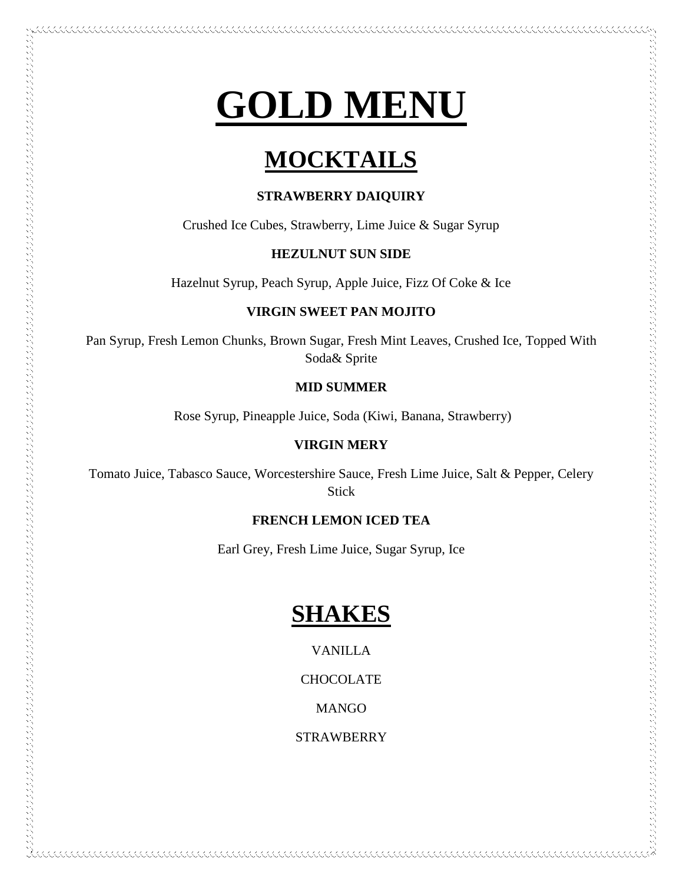# **GOLD MENU**

# **MOCKTAILS**

### **STRAWBERRY DAIQUIRY**

Crushed Ice Cubes, Strawberry, Lime Juice & Sugar Syrup

### **HEZULNUT SUN SIDE**

Hazelnut Syrup, Peach Syrup, Apple Juice, Fizz Of Coke & Ice

### **VIRGIN SWEET PAN MOJITO**

Pan Syrup, Fresh Lemon Chunks, Brown Sugar, Fresh Mint Leaves, Crushed Ice, Topped With Soda& Sprite

### **MID SUMMER**

Rose Syrup, Pineapple Juice, Soda (Kiwi, Banana, Strawberry)

### **VIRGIN MERY**

アンティング・ファイン アンディング・ファイン しょうしょう しょうしょう しょうしょう しょうしょう しょうしょう しょうしょう しょうしょう しょうしょう しょうしょう しょうしょう しょうしょう しょうしょう しょうしょう しょうしょう しょうしょう しょうしょう しょうしょう しょうしょう しょうしょう しょうしょう しょうしょう しょうしょう しょうしょう しょうしょう しょうしょう しょうしょう しょうしょう

Tomato Juice, Tabasco Sauce, Worcestershire Sauce, Fresh Lime Juice, Salt & Pepper, Celery Stick

### **FRENCH LEMON ICED TEA**

Earl Grey, Fresh Lime Juice, Sugar Syrup, Ice

# **SHAKES**

VANILLA

**CHOCOLATE** 

**MANGO** 

**STRAWBERRY**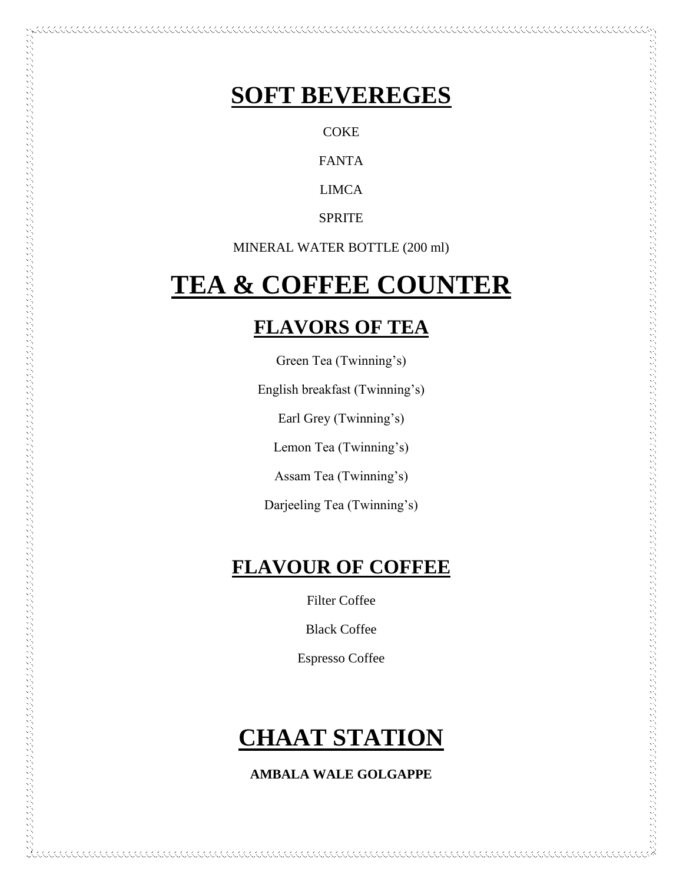# **SOFT BEVEREGES**

**COKE** 

FANTA

LIMCA

**SPRITE** 

MINERAL WATER BOTTLE (200 ml)

# **TEA & COFFEE COUNTER**

# **FLAVORS OF TEA**

Green Tea (Twinning's)

English breakfast (Twinning's)

Earl Grey (Twinning's)

Lemon Tea (Twinning's)

アンセプション こうしょう こうしょう こうしょう こうしょう こうしょう こうしょう こうしょう こうしょう こうしょう こうしょう こうしょう こうしょう こうしょう こうしょう こうしょう こうしょう こうしょう こうしょう こうしょう こうしょう こうしょう こうしょう こうしょう こうしょう こうしょう こうしょう こうしょう こうしょう こうしょうしょう

Assam Tea (Twinning's)

Darjeeling Tea (Twinning's)

# **FLAVOUR OF COFFEE**

Filter Coffee

Black Coffee

Espresso Coffee

# **CHAAT STATION**

### **AMBALA WALE GOLGAPPE**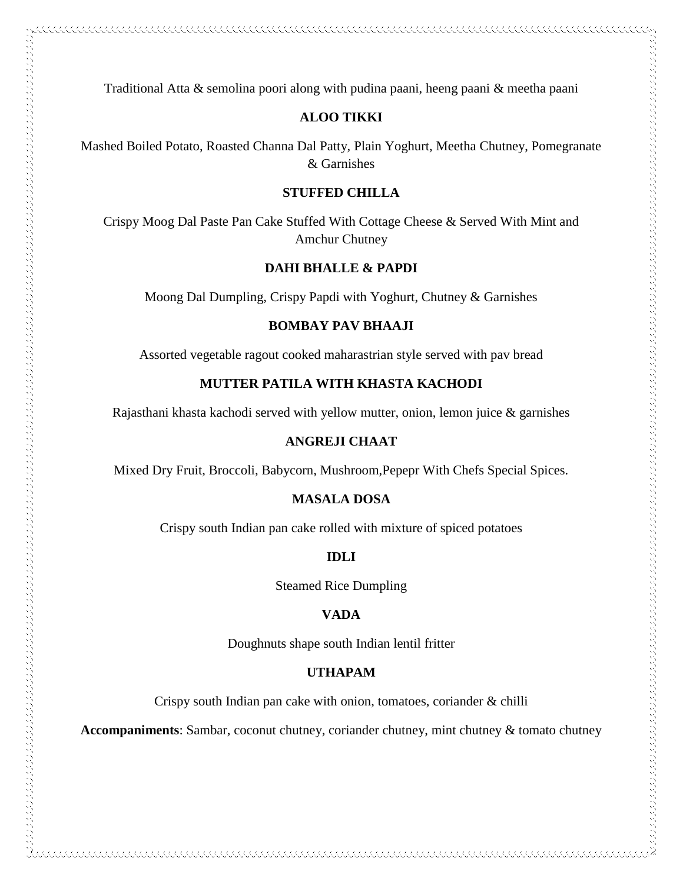Traditional Atta & semolina poori along with pudina paani, heeng paani & meetha paani

### **ALOO TIKKI**

Mashed Boiled Potato, Roasted Channa Dal Patty, Plain Yoghurt, Meetha Chutney, Pomegranate & Garnishes

### **STUFFED CHILLA**

Crispy Moog Dal Paste Pan Cake Stuffed With Cottage Cheese & Served With Mint and Amchur Chutney

### **DAHI BHALLE & PAPDI**

Moong Dal Dumpling, Crispy Papdi with Yoghurt, Chutney & Garnishes

### **BOMBAY PAV BHAAJI**

Assorted vegetable ragout cooked maharastrian style served with pav bread

### **MUTTER PATILA WITH KHASTA KACHODI**

Rajasthani khasta kachodi served with yellow mutter, onion, lemon juice & garnishes

### **ANGREJI CHAAT**

Mixed Dry Fruit, Broccoli, Babycorn, Mushroom,Pepepr With Chefs Special Spices.

### **MASALA DOSA**

Crispy south Indian pan cake rolled with mixture of spiced potatoes

### **IDLI**

Steamed Rice Dumpling

### **VADA**

Doughnuts shape south Indian lentil fritter

### **UTHAPAM**

Crispy south Indian pan cake with onion, tomatoes, coriander & chilli

**Accompaniments**: Sambar, coconut chutney, coriander chutney, mint chutney & tomato chutney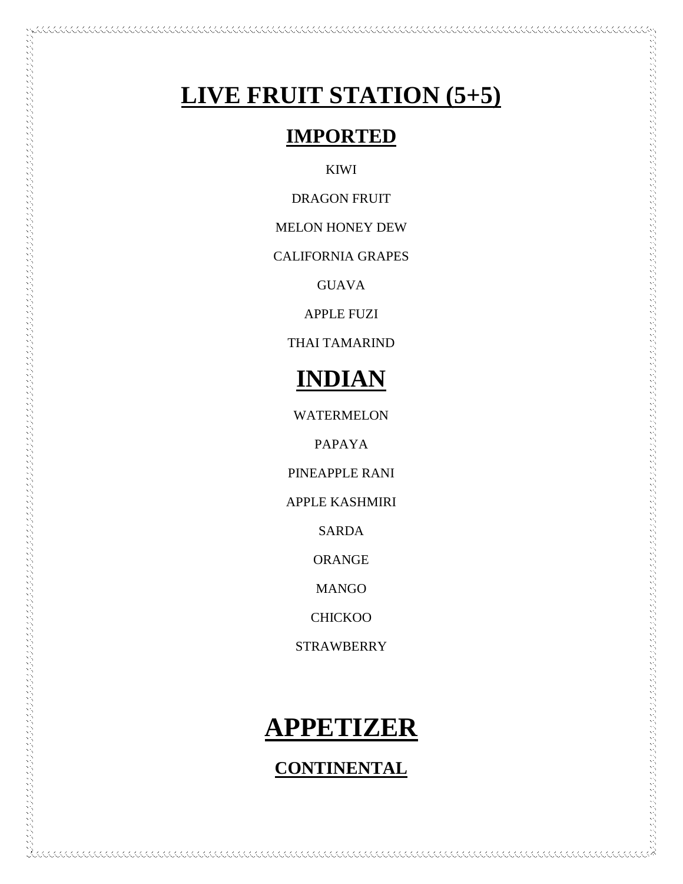# **LIVE FRUIT STATION (5+5)**

111111111111111111

# **IMPORTED**

KIWI

DRAGON FRUIT

MELON HONEY DEW

CALIFORNIA GRAPES

GUAVA

APPLE FUZI

THAI TAMARIND

# **INDIAN**

WATERMELON

PAPAYA

PINEAPPLE RANI

APPLE KASHMIRI

SARDA

ORANGE

MANGO

CHICKOO

STRAWBERRY

# **APPETIZER**

### **CONTINENTAL**

KKKKKKKKKKKKKKKKKKKKKKKKKKKKKKK

KKKKKKKKKKKKK

kkaakaak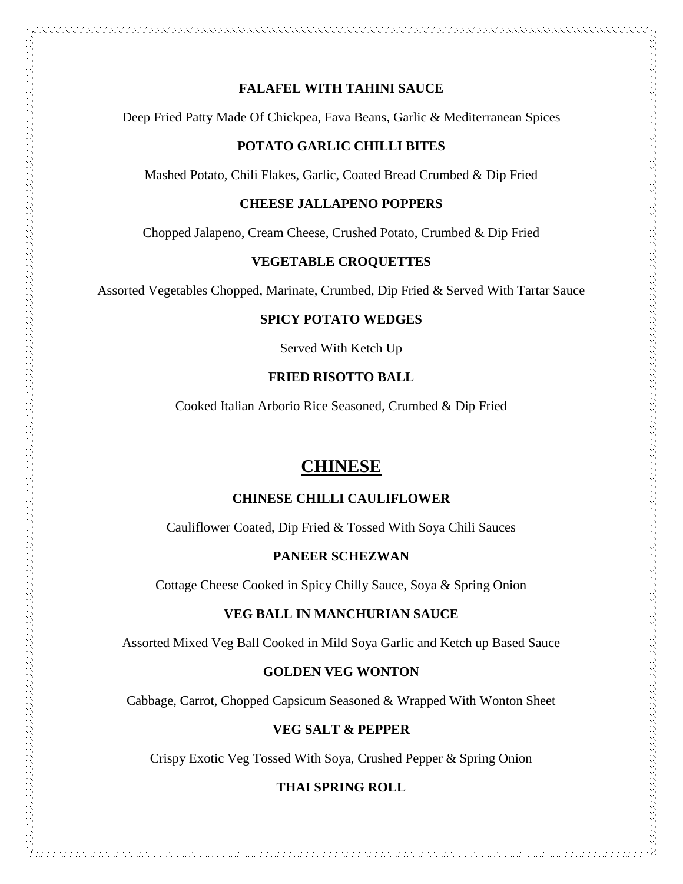# $\sim$  and a construction of the construction of the construction of the construction of the construction of the construction of the construction of the construction of the construction of the construction of the constructi

### **FALAFEL WITH TAHINI SAUCE**

Deep Fried Patty Made Of Chickpea, Fava Beans, Garlic & Mediterranean Spices

### **POTATO GARLIC CHILLI BITES**

Mashed Potato, Chili Flakes, Garlic, Coated Bread Crumbed & Dip Fried

### **CHEESE JALLAPENO POPPERS**

Chopped Jalapeno, Cream Cheese, Crushed Potato, Crumbed & Dip Fried

### **VEGETABLE CROQUETTES**

Assorted Vegetables Chopped, Marinate, Crumbed, Dip Fried & Served With Tartar Sauce

### **SPICY POTATO WEDGES**

Served With Ketch Up

### **FRIED RISOTTO BALL**

Cooked Italian Arborio Rice Seasoned, Crumbed & Dip Fried

### **CHINESE**

### **CHINESE CHILLI CAULIFLOWER**

Cauliflower Coated, Dip Fried & Tossed With Soya Chili Sauces

### **PANEER SCHEZWAN**

Cottage Cheese Cooked in Spicy Chilly Sauce, Soya & Spring Onion

### **VEG BALL IN MANCHURIAN SAUCE**

Assorted Mixed Veg Ball Cooked in Mild Soya Garlic and Ketch up Based Sauce

### **GOLDEN VEG WONTON**

Cabbage, Carrot, Chopped Capsicum Seasoned & Wrapped With Wonton Sheet

### **VEG SALT & PEPPER**

Crispy Exotic Veg Tossed With Soya, Crushed Pepper & Spring Onion

### **THAI SPRING ROLL**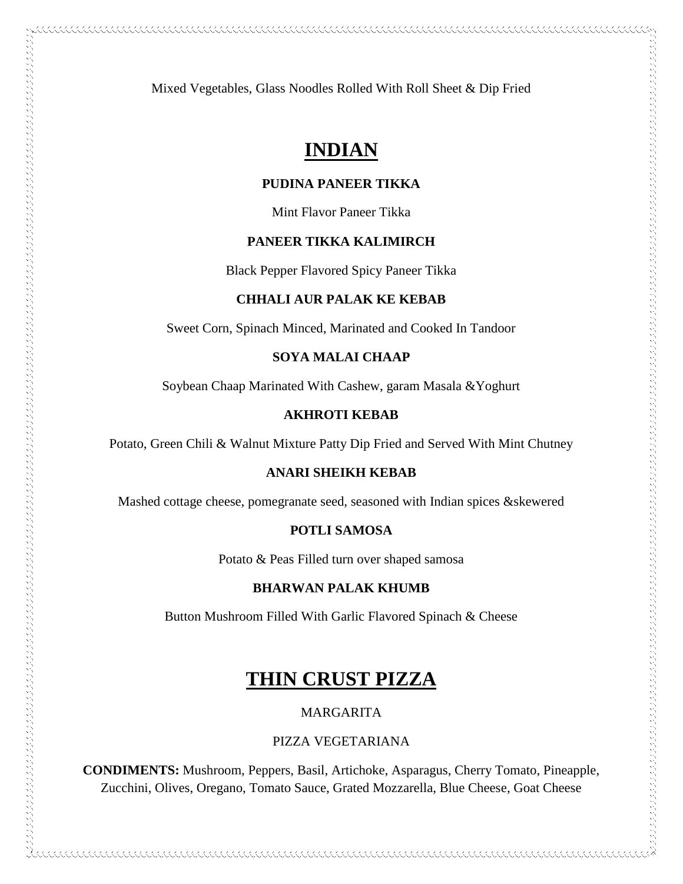Mixed Vegetables, Glass Noodles Rolled With Roll Sheet & Dip Fried

# **INDIAN**

### **PUDINA PANEER TIKKA**

Mint Flavor Paneer Tikka

### **PANEER TIKKA KALIMIRCH**

Black Pepper Flavored Spicy Paneer Tikka

### **CHHALI AUR PALAK KE KEBAB**

Sweet Corn, Spinach Minced, Marinated and Cooked In Tandoor

### **SOYA MALAI CHAAP**

Soybean Chaap Marinated With Cashew, garam Masala &Yoghurt

### **AKHROTI KEBAB**

Potato, Green Chili & Walnut Mixture Patty Dip Fried and Served With Mint Chutney

### **ANARI SHEIKH KEBAB**

Mashed cottage cheese, pomegranate seed, seasoned with Indian spices &skewered

### **POTLI SAMOSA**

Potato & Peas Filled turn over shaped samosa

### **BHARWAN PALAK KHUMB**

Button Mushroom Filled With Garlic Flavored Spinach & Cheese

# **THIN CRUST PIZZA**

MARGARITA

### PIZZA VEGETARIANA

**CONDIMENTS:** Mushroom, Peppers, Basil, Artichoke, Asparagus, Cherry Tomato, Pineapple, Zucchini, Olives, Oregano, Tomato Sauce, Grated Mozzarella, Blue Cheese, Goat Cheese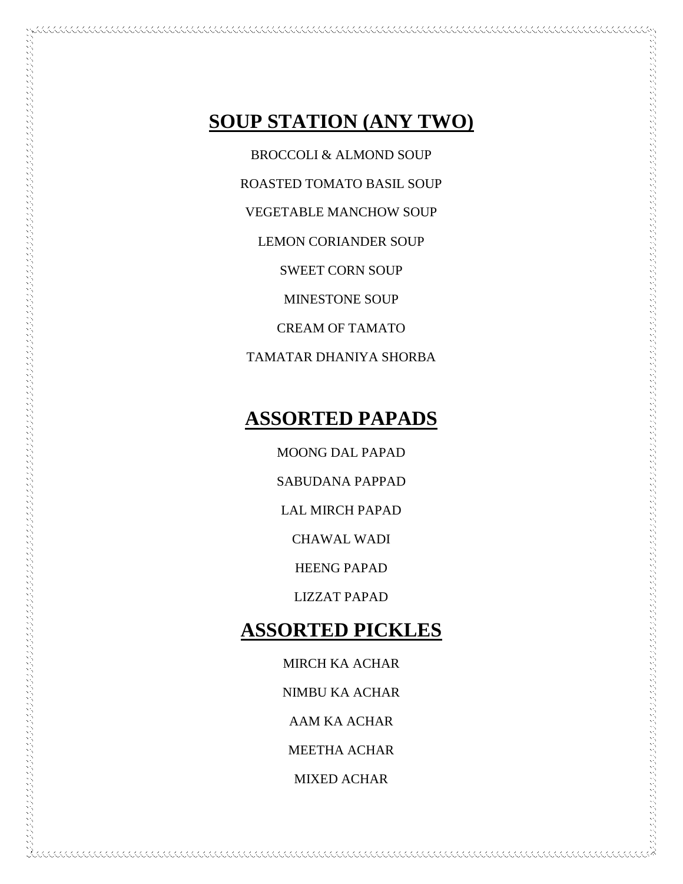# **SOUP STATION (ANY TWO)**

BROCCOLI & ALMOND SOUP

ROASTED TOMATO BASIL SOUP

VEGETABLE MANCHOW SOUP

LEMON CORIANDER SOUP

SWEET CORN SOUP

MINESTONE SOUP

CREAM OF TAMATO

TAMATAR DHANIYA SHORBA

# **ASSORTED PAPADS**

MOONG DAL PAPAD

SABUDANA PAPPAD

LAL MIRCH PAPAD

CHAWAL WADI

HEENG PAPAD

LIZZAT PAPAD

# **ASSORTED PICKLES**

MIRCH KA ACHAR NIMBU KA ACHAR AAM KA ACHAR MEETHA ACHAR MIXED ACHAR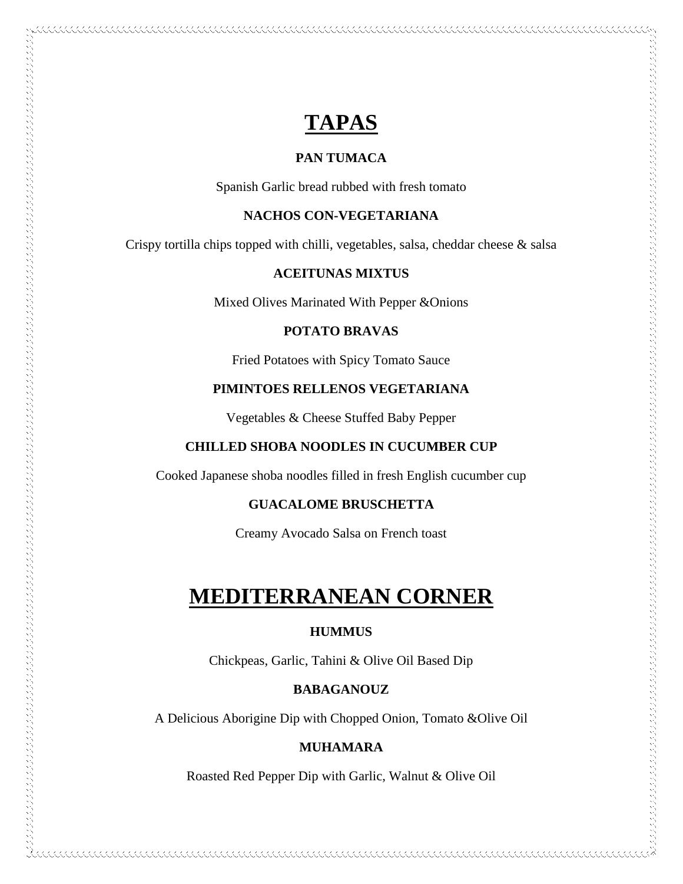# **TAPAS**

### **PAN TUMACA**

Spanish Garlic bread rubbed with fresh tomato

### **NACHOS CON-VEGETARIANA**

Crispy tortilla chips topped with chilli, vegetables, salsa, cheddar cheese & salsa

### **ACEITUNAS MIXTUS**

Mixed Olives Marinated With Pepper &Onions

### **POTATO BRAVAS**

Fried Potatoes with Spicy Tomato Sauce

### **PIMINTOES RELLENOS VEGETARIANA**

Vegetables & Cheese Stuffed Baby Pepper

### **CHILLED SHOBA NOODLES IN CUCUMBER CUP**

 $\sim$  and a construction of the construction of the construction of the construction of the construction of the construction of the construction of the construction of the construction of the construction of the constructi

Cooked Japanese shoba noodles filled in fresh English cucumber cup

### **GUACALOME BRUSCHETTA**

Creamy Avocado Salsa on French toast

# **MEDITERRANEAN CORNER**

### **HUMMUS**

Chickpeas, Garlic, Tahini & Olive Oil Based Dip

### **BABAGANOUZ**

A Delicious Aborigine Dip with Chopped Onion, Tomato &Olive Oil

### **MUHAMARA**

Roasted Red Pepper Dip with Garlic, Walnut & Olive Oil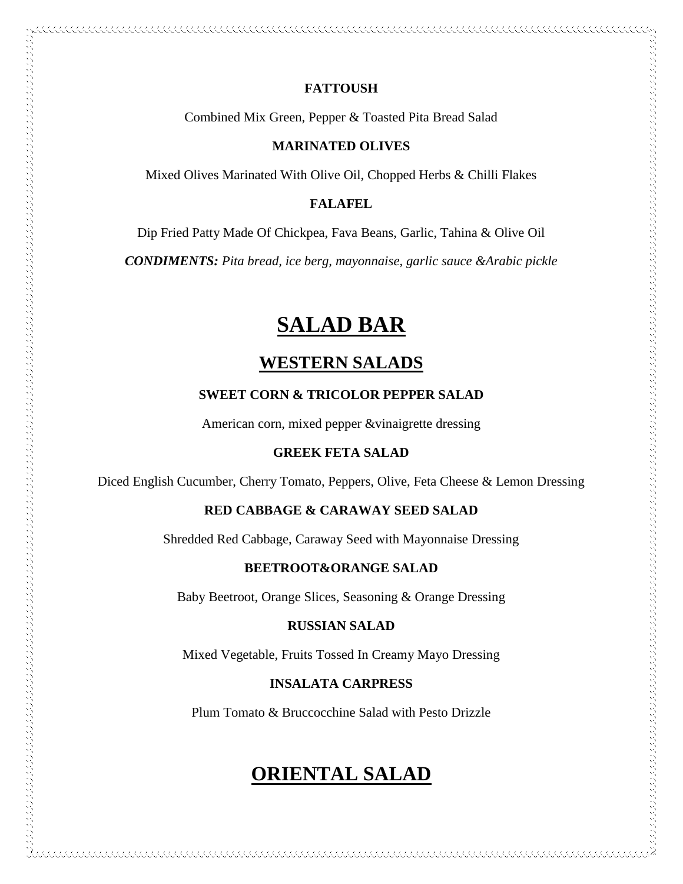### **FATTOUSH**

Combined Mix Green, Pepper & Toasted Pita Bread Salad

### **MARINATED OLIVES**

Mixed Olives Marinated With Olive Oil, Chopped Herbs & Chilli Flakes

### **FALAFEL**

Dip Fried Patty Made Of Chickpea, Fava Beans, Garlic, Tahina & Olive Oil

*CONDIMENTS: Pita bread, ice berg, mayonnaise, garlic sauce &Arabic pickle*

# **SALAD BAR**

### **WESTERN SALADS**

### **SWEET CORN & TRICOLOR PEPPER SALAD**

American corn, mixed pepper &vinaigrette dressing

### **GREEK FETA SALAD**

 $\sim$  and the construction of the construction of the construction of the construction of the construction of the construction of the construction of the construction of the construction of the construction of the construc

Diced English Cucumber, Cherry Tomato, Peppers, Olive, Feta Cheese & Lemon Dressing

### **RED CABBAGE & CARAWAY SEED SALAD**

Shredded Red Cabbage, Caraway Seed with Mayonnaise Dressing

### **BEETROOT&ORANGE SALAD**

Baby Beetroot, Orange Slices, Seasoning & Orange Dressing

### **RUSSIAN SALAD**

Mixed Vegetable, Fruits Tossed In Creamy Mayo Dressing

### **INSALATA CARPRESS**

Plum Tomato & Bruccocchine Salad with Pesto Drizzle

# **ORIENTAL SALAD**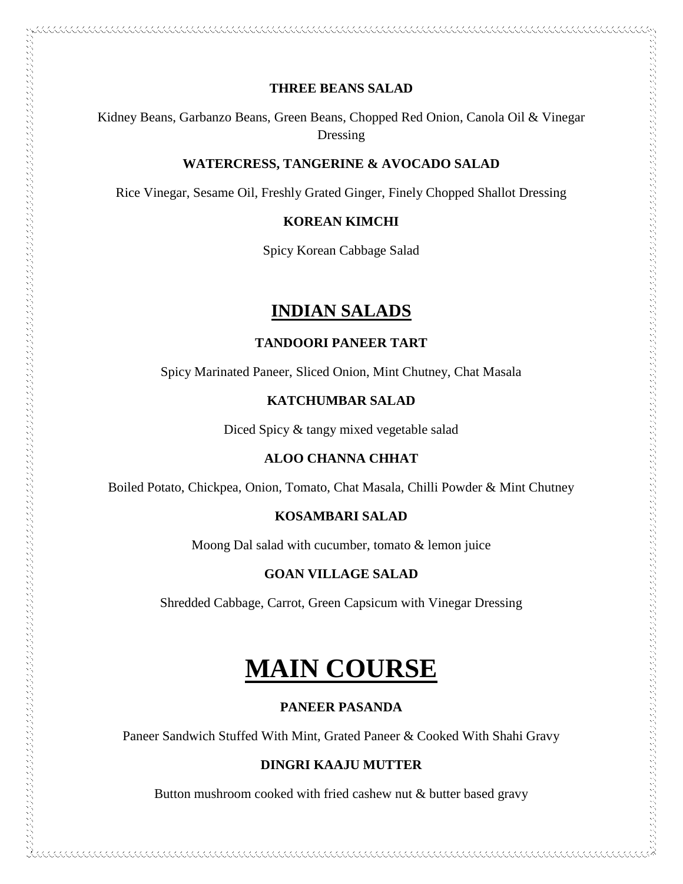### **THREE BEANS SALAD**

Kidney Beans, Garbanzo Beans, Green Beans, Chopped Red Onion, Canola Oil & Vinegar Dressing

### **WATERCRESS, TANGERINE & AVOCADO SALAD**

Rice Vinegar, Sesame Oil, Freshly Grated Ginger, Finely Chopped Shallot Dressing

### **KOREAN KIMCHI**

Spicy Korean Cabbage Salad

### **INDIAN SALADS**

### **TANDOORI PANEER TART**

Spicy Marinated Paneer, Sliced Onion, Mint Chutney, Chat Masala

### **KATCHUMBAR SALAD**

Diced Spicy & tangy mixed vegetable salad

### **ALOO CHANNA CHHAT**

Boiled Potato, Chickpea, Onion, Tomato, Chat Masala, Chilli Powder & Mint Chutney

### **KOSAMBARI SALAD**

Moong Dal salad with cucumber, tomato & lemon juice

### **GOAN VILLAGE SALAD**

Shredded Cabbage, Carrot, Green Capsicum with Vinegar Dressing

# **MAIN COURSE**

### **PANEER PASANDA**

Paneer Sandwich Stuffed With Mint, Grated Paneer & Cooked With Shahi Gravy

### **DINGRI KAAJU MUTTER**

Button mushroom cooked with fried cashew nut & butter based gravy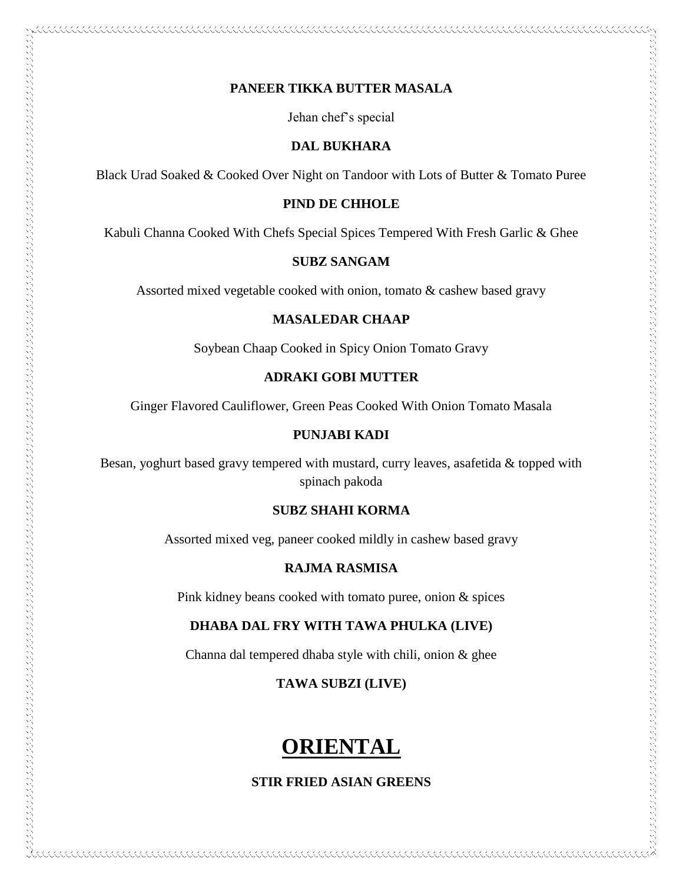### **PANEER TIKKA BUTTER MASALA**

Jehan chef's special

### **DAL BUKHARA**

Black Urad Soaked & Cooked Over Night on Tandoor with Lots of Butter & Tomato Puree

### **PIND DE CHHOLE**

Kabuli Channa Cooked With Chefs Special Spices Tempered With Fresh Garlic & Ghee

### **SUBZ SANGAM**

Assorted mixed vegetable cooked with onion, tomato & cashew based gravy

### **MASALEDAR CHAAP**

Soybean Chaap Cooked in Spicy Onion Tomato Gravy

### **ADRAKI GOBI MUTTER**

Ginger Flavored Cauliflower, Green Peas Cooked With Onion Tomato Masala

### **PUNJABI KADI**

 $\sim$  and the complete state of the construction of the construction of the complete state of the complete state of the construction of the construction of the construction of the construction of the construction of the co

Besan, yoghurt based gravy tempered with mustard, curry leaves, asafetida & topped with spinach pakoda

### **SUBZ SHAHI KORMA**

Assorted mixed veg, paneer cooked mildly in cashew based gravy

### **RAJMA RASMISA**

Pink kidney beans cooked with tomato puree, onion & spices

### **DHABA DAL FRY WITH TAWA PHULKA (LIVE)**

Channa dal tempered dhaba style with chili, onion & ghee

### **TAWA SUBZI (LIVE)**

# **ORIENTAL**

### **STIR FRIED ASIAN GREENS**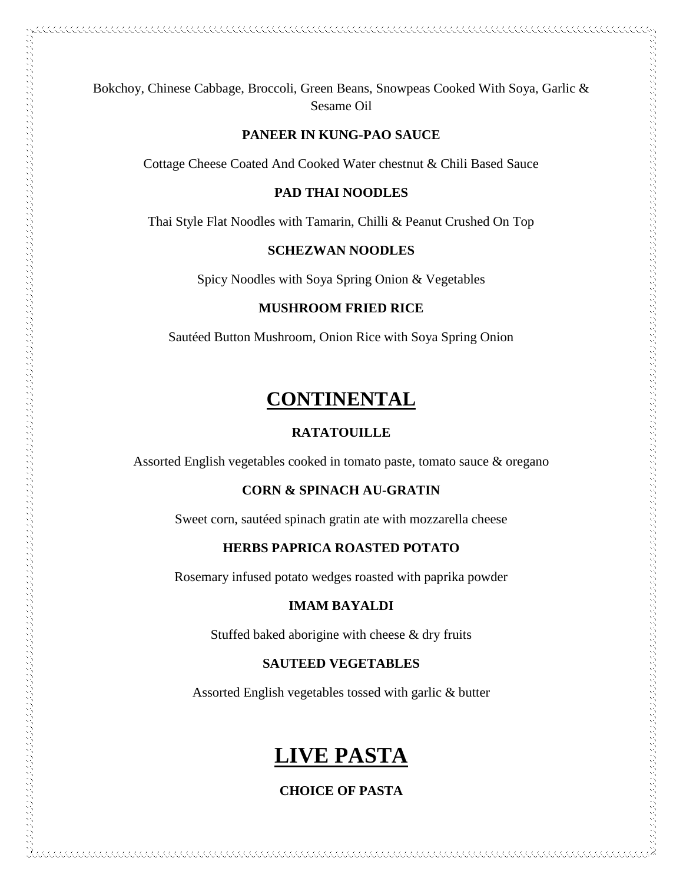Bokchoy, Chinese Cabbage, Broccoli, Green Beans, Snowpeas Cooked With Soya, Garlic & Sesame Oil

### **PANEER IN KUNG-PAO SAUCE**

Cottage Cheese Coated And Cooked Water chestnut & Chili Based Sauce

### **PAD THAI NOODLES**

Thai Style Flat Noodles with Tamarin, Chilli & Peanut Crushed On Top

### **SCHEZWAN NOODLES**

Spicy Noodles with Soya Spring Onion & Vegetables

### **MUSHROOM FRIED RICE**

Sautéed Button Mushroom, Onion Rice with Soya Spring Onion

# **CONTINENTAL**

### **RATATOUILLE**

Assorted English vegetables cooked in tomato paste, tomato sauce & oregano

### **CORN & SPINACH AU-GRATIN**

Sweet corn, sautéed spinach gratin ate with mozzarella cheese

### **HERBS PAPRICA ROASTED POTATO**

Rosemary infused potato wedges roasted with paprika powder

### **IMAM BAYALDI**

Stuffed baked aborigine with cheese & dry fruits

### **SAUTEED VEGETABLES**

Assorted English vegetables tossed with garlic & butter

# **LIVE PASTA**

**CHOICE OF PASTA**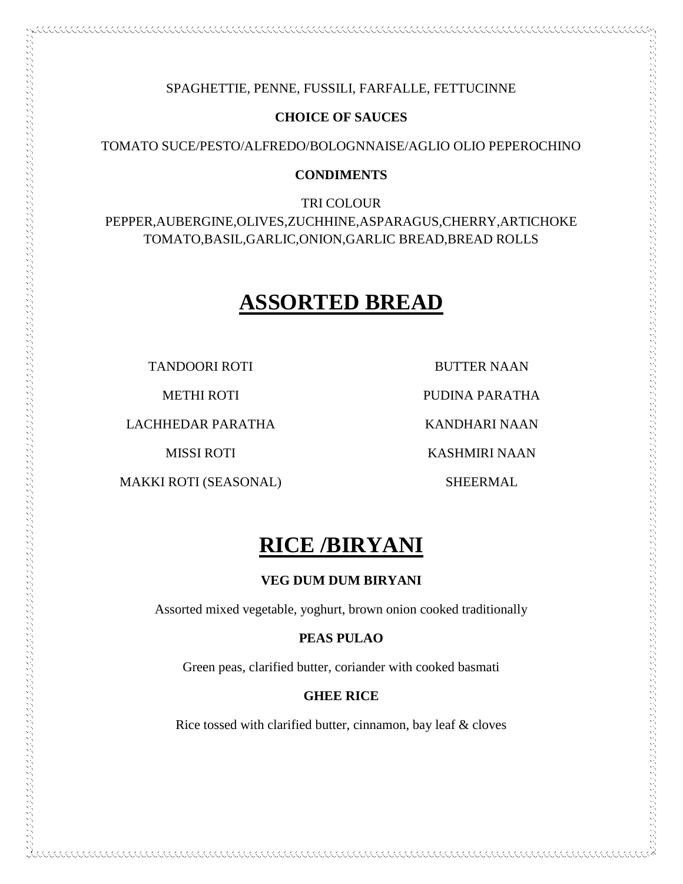### SPAGHETTIE, PENNE, FUSSILI, FARFALLE, FETTUCINNE

### **CHOICE OF SAUCES**

TOMATO SUCE/PESTO/ALFREDO/BOLOGNNAISE/AGLIO OLIO PEPEROCHINO

### **CONDIMENTS**

TRI COLOUR PEPPER,AUBERGINE,OLIVES,ZUCHHINE,ASPARAGUS,CHERRY,ARTICHOKE TOMATO,BASIL,GARLIC,ONION,GARLIC BREAD,BREAD ROLLS

# **ASSORTED BREAD**

TANDOORI ROTI

METHI ROTI

LACHHEDAR PARATHA

MISSI ROTI

MAKKI ROTI (SEASONAL)

BUTTER NAAN

PUDINA PARATHA

KANDHARI NAAN

KASHMIRI NAAN

SHEERMAL

# **RICE /BIRYANI**

### **VEG DUM DUM BIRYANI**

Assorted mixed vegetable, yoghurt, brown onion cooked traditionally

### **PEAS PULAO**

Green peas, clarified butter, coriander with cooked basmati

### **GHEE RICE**

Rice tossed with clarified butter, cinnamon, bay leaf & cloves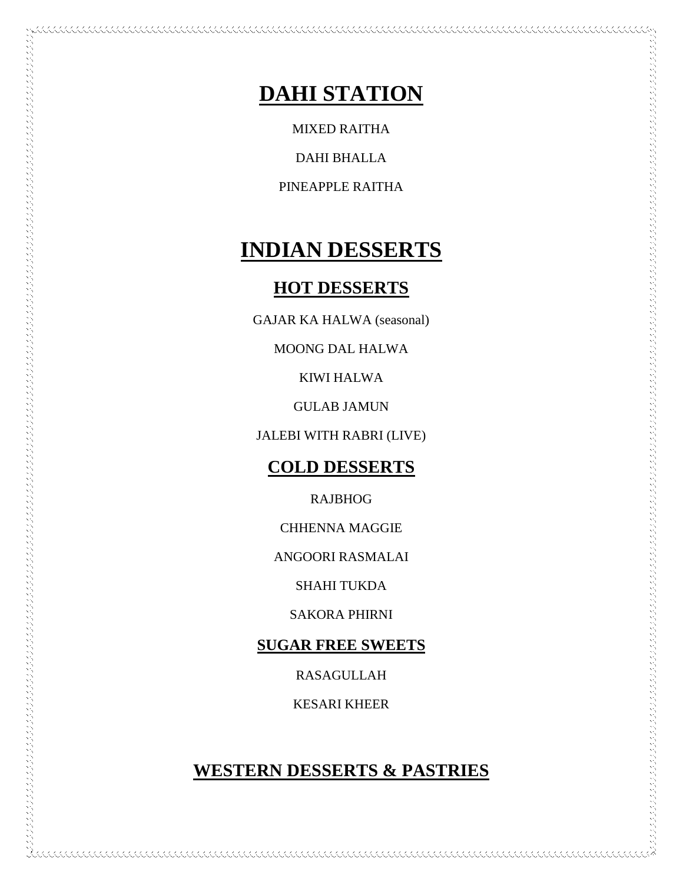# **DAHI STATION**

MIXED RAITHA

DAHI BHALLA

PINEAPPLE RAITHA

# **INDIAN DESSERTS**

### **HOT DESSERTS**

GAJAR KA HALWA (seasonal)

MOONG DAL HALWA

KIWI HALWA

GULAB JAMUN

JALEBI WITH RABRI (LIVE)

### **COLD DESSERTS**

RAJBHOG

CHHENNA MAGGIE

ANGOORI RASMALAI

SHAHI TUKDA

SAKORA PHIRNI

### **SUGAR FREE SWEETS**

RASAGULLAH

KESARI KHEER

### **WESTERN DESSERTS & PASTRIES**